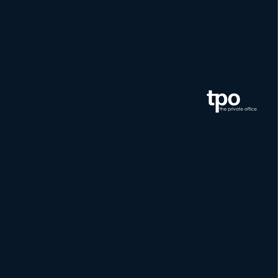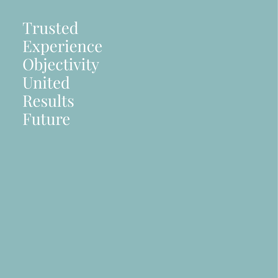Trusted Experience **Objectivity** United Results Future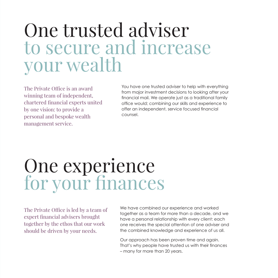#### One trusted adviser to secure and increase your wealth

The Private Office is an award winning team of independent, chartered financial experts united by one vision: to provide a personal and bespoke wealth management service.

You have one trusted adviser to help with everything from major investment decisions to looking after your financial mail. We operate just as a traditional family office would; combining our skills and experience to offer an independent, service focused financial counsel.

## One experience for your finances

The Private Office is led by a team of expert financial advisers brought together by the ethos that our work should be driven by your needs.

We have combined our experience and worked together as a team for more than a decade, and we have a personal relationship with every client: each one receives the special attention of one adviser and the combined knowledge and experience of us all.

Our approach has been proven time and again. That's why people have trusted us with their finances – many for more than 20 years.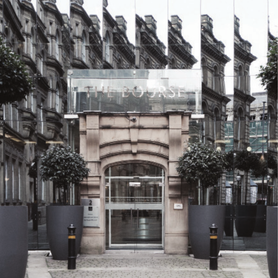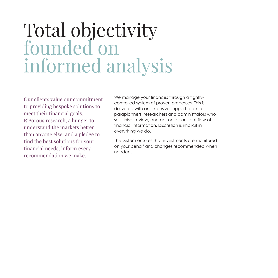### Total objectivity founded on informed analysis

Our clients value our commitment to providing bespoke solutions to meet their financial goals. Rigorous research, a hunger to understand the markets better than anyone else, and a pledge to find the best solutions for your financial needs, inform every recommendation we make.

We manage your finances through a tightlycontrolled system of proven processes. This is delivered with an extensive support team of paraplanners, researchers and administrators who scrutinise, review, and act on a constant flow of financial information. Discretion is implicit in everything we do.

The system ensures that investments are monitored on your behalf and changes recommended when needed.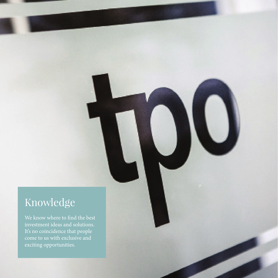#### Knowledge

We know where to find the best investment ideas and solutions. It's no coincidence that people come to us with exclusive and exciting opportunities.

**COMPOSITE**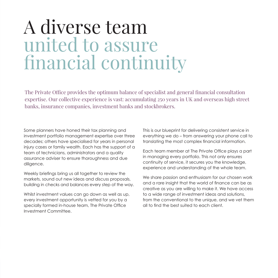### A diverse team united to assure financial continuity

The Private Office provides the optimum balance of specialist and general financial consultation expertise. Our collective experience is vast: accumulating 250 years in UK and overseas high street banks, insurance companies, investment banks and stockbrokers.

Some planners have honed their tax planning and investment portfolio management expertise over three decades; others have specialised for years in personal injury cases or family wealth. Each has the support of a team of technicians, administrators and a quality assurance adviser to ensure thoroughness and due diligence.

Weekly briefings bring us all together to review the markets, sound out new ideas and discuss proposals, building in checks and balances every step of the way.

Whilst investment values can go down as well as up, every investment opportunity is vetted for you by a specially formed in-house team, The Private Office Investment Committee.

This is our blueprint for delivering consistent service in everything we do – from answering your phone call to translating the most complex financial information.

Each team member at The Private Office plays a part in managing every portfolio. This not only ensures continuity of service, it secures you the knowledge, experience and understanding of the whole team.

We share passion and enthusiasm for our chosen work and a rare insight that the world of finance can be as creative as you are willing to make it. We have access to a wide range of investment ideas and solutions, from the conventional to the unique, and we vet them all to find the best suited to each client.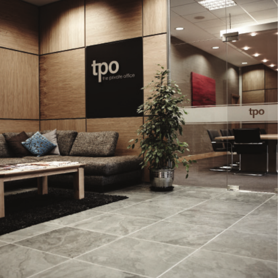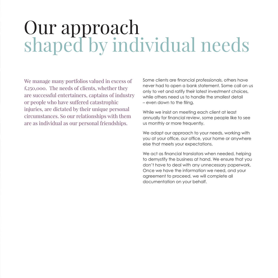# Our approach shaped by individual needs

We manage many portfolios valued in excess of £250,000. The needs of clients, whether they are successful entertainers, captains of industry or people who have suffered catastrophic injuries, are dictated by their unique personal circumstances. So our relationships with them are as individual as our personal friendships.

Some clients are financial professionals, others have never had to open a bank statement. Some call on us only to vet and ratify their latest investment choices, while others need us to handle the smallest detail – even down to the filing.

While we insist on meeting each client at least annually for financial review, some people like to see us monthly or more frequently.

We adapt our approach to your needs, working with you at your office, our office, your home or anywhere else that meets your expectations.

We act as financial translators when needed, helping to demystify the business at hand. We ensure that you don't have to deal with any unnecessary paperwork. Once we have the information we need, and your agreement to proceed, we will complete all documentation on your behalf.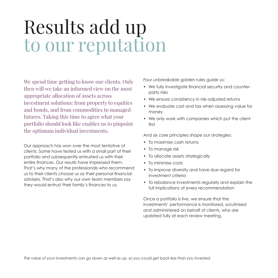# Results add up to our reputation

We spend time getting to know our clients. Only then will we take an informed view on the most appropriate allocation of assets across investment solutions: from property to equities and bonds, and from commodities to managed futures. Taking this time to agree what your portfolio should look like enables us to pinpoint the optimum individual investments.

Our approach has won over the most tentative of clients. Some have tested us with a small part of their portfolio and subsequently entrusted us with their entire finances. Our results have impressed them. That's why many of the professionals who recommend us to their clients choose us as their personal financial advisers. That's also why our own team members say they would entrust their family's finances to us.

Four unbreakable golden rules guide us:

- We fully investigate financial security and counterparty risks
- We ensure consistency in risk-adjusted returns
- We evaluate cost and tax when assessing value for money
- We only work with companies which put the client first

And six core principles shape our strategies:

- To maximise cash returns
- To manage risk
- To allocate assets strategically
- To minimise costs
- To improve diversity and have due regard for investment criteria
- To rebalance investments regularly and explain the full implications of every recommendation

Once a portfolio is live, we ensure that the investments' performance is monitored, scrutinised and administered on behalf of clients, who are updated fully at each review meeting.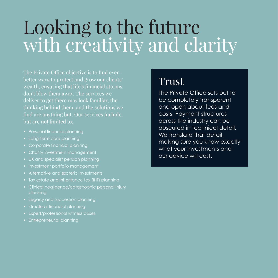# Looking to the future with creativity and clarity

The Private Office objective is to find everbetter ways to protect and grow our clients' wealth, ensuring that life's financial storms don't blow them away. The services we deliver to get there may look familiar, the thinking behind them, and the solutions we find are anything but. Our services include, but are not limited to:

- Personal financial planning
- Long-term care planning
- Corporate financial planning
- Charity investment management
- UK and specialist pension planning
- Investment portfolio management
- Alternative and esoteric investments
- Tax estate and inheritance tax (IHT) planning
- Clinical negligence/catastrophic personal injury
- Legacy and succession planning
- Structural financial planning
- Expert/professional witness cases
- Entrepreneurial planning

#### Trust

The Private Office sets out to be completely transparent and open about fees and costs. Payment structures across the industry can be obscured in technical detail. We translate that detail, making sure you know exactly what your investments and our advice will cost.